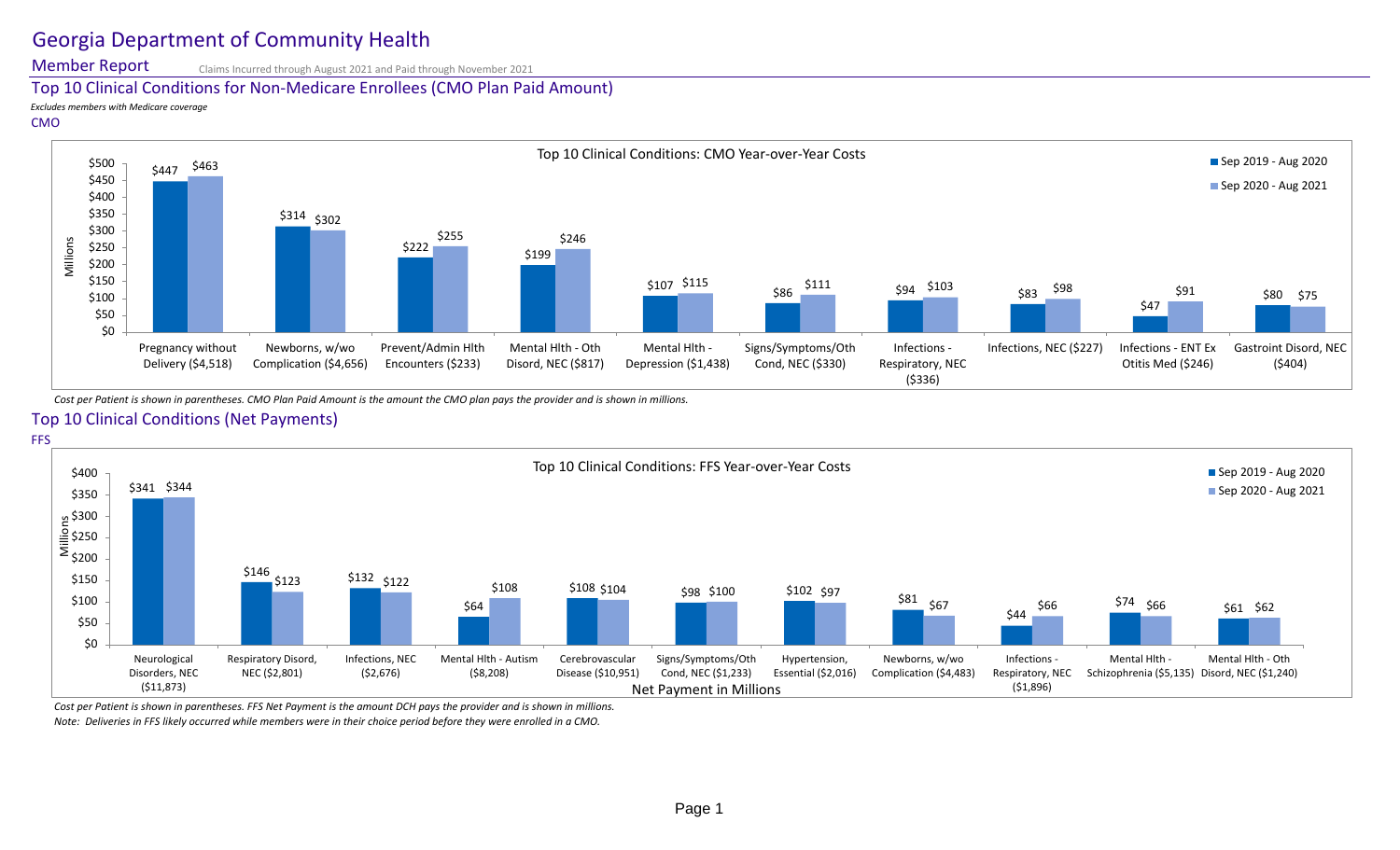# Georgia Department of Community Health

Member Report

Claims Incurred through August 2021 and Paid through November 2021

### Top 10 Clinical Conditions for Non-Medicare Enrollees (CMO Plan Paid Amount)

*Excludes members with Medicare coverage*

#### CMO



*Cost per Patient is shown in parentheses. CMO Plan Paid Amount is the amount the CMO plan pays the provider and is shown in millions.*

## Top 10 Clinical Conditions (Net Payments)



*Cost per Patient is shown in parentheses. FFS Net Payment is the amount DCH pays the provider and is shown in millions.*

*Note: Deliveries in FFS likely occurred while members were in their choice period before they were enrolled in a CMO.*